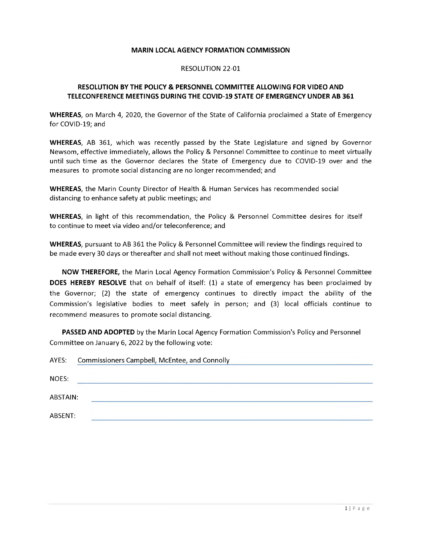## **MARIN LOCAL AGENCY FORMATION COMMISSION**

## RESOLUTION 22-01

## **RESOLUTION BY THE POLICY & PERSONNEL COMMITTEE ALLOWING FOR VIDEO AND TELECONFERENCE MEETINGS DURING THE COVID-19 STATE OF EMERGENCY UNDER AB 361**

**WHEREAS**, on March 4, 2020, the Governor of the State of California proclaimed a State of Emergency for COVID-19; and

**WHEREAS**, AB 361, which was recently passed by the State Legislature and signed by Governor Newsom, effective immediately, allows the Policy & Personnel Committee to continue to meet virtually until such time as the Governor declares the State of Emergency due to COVID-19 over and the measures to promote social distancing are no longer recommended; and

**WHEREAS**, the Marin County Director of Health & Human Services has recommended social distancing to enhance safety at public meetings; and

**WHEREAS**, in light of this recommendation, the Policy & Personnel Committee desires for itself to continue to meet via video and/or teleconference; and

**WHEREAS**, pursuant to AB 361 the Policy & Personnel Committee will review the findings required to be made every 30 days or thereafter and shall not meet without making those continued findings.

**NOW THEREFORE,** the Marin Local Agency Formation Commission's Policy & Personnel Committee **DOES HEREBY RESOLVE** that on behalf of itself: (1) a state of emergency has been proclaimed by the Governor; (2) the state of emergency continues to directly impact the ability of the Commission's legislative bodies to meet safely in person; and (3) local officials continue to recommend measures to promote social distancing.

**PASSED AND ADOPTED** by the Marin Local Agency Formation Commission's Policy and Personnel Committee on January 6, 2022 by the following vote:

| AYES:    | Commissioners Campbell, McEntee, and Connolly |
|----------|-----------------------------------------------|
| NOES:    |                                               |
| ABSTAIN: |                                               |
| ABSENT:  |                                               |